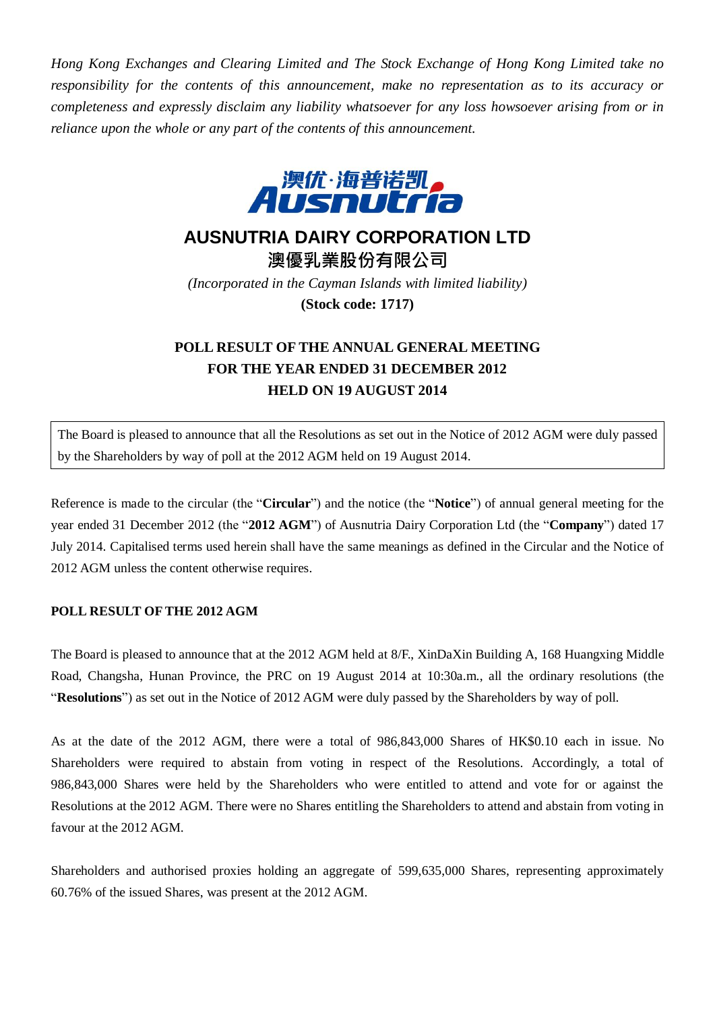*Hong Kong Exchanges and Clearing Limited and The Stock Exchange of Hong Kong Limited take no responsibility for the contents of this announcement, make no representation as to its accuracy or completeness and expressly disclaim any liability whatsoever for any loss howsoever arising from or in reliance upon the whole or any part of the contents of this announcement.*



## **AUSNUTRIA DAIRY CORPORATION LTD**

**澳優乳業股份有限公司** *(Incorporated in the Cayman Islands with limited liability)* **(Stock code: 1717)**

## **POLL RESULT OF THE ANNUAL GENERAL MEETING FOR THE YEAR ENDED 31 DECEMBER 2012 HELD ON 19 AUGUST 2014**

The Board is pleased to announce that all the Resolutions as set out in the Notice of 2012 AGM were duly passed by the Shareholders by way of poll at the 2012 AGM held on 19 August 2014.

Reference is made to the circular (the "**Circular**") and the notice (the "**Notice**") of annual general meeting for the year ended 31 December 2012 (the "**2012 AGM**") of Ausnutria Dairy Corporation Ltd (the "**Company**") dated 17 July 2014. Capitalised terms used herein shall have the same meanings as defined in the Circular and the Notice of 2012 AGM unless the content otherwise requires.

## **POLL RESULT OF THE 2012 AGM**

The Board is pleased to announce that at the 2012 AGM held at 8/F., XinDaXin Building A, 168 Huangxing Middle Road, Changsha, Hunan Province, the PRC on 19 August 2014 at 10:30a.m., all the ordinary resolutions (the "**Resolutions**") as set out in the Notice of 2012 AGM were duly passed by the Shareholders by way of poll.

As at the date of the 2012 AGM, there were a total of 986,843,000 Shares of HK\$0.10 each in issue. No Shareholders were required to abstain from voting in respect of the Resolutions. Accordingly, a total of 986,843,000 Shares were held by the Shareholders who were entitled to attend and vote for or against the Resolutions at the 2012 AGM. There were no Shares entitling the Shareholders to attend and abstain from voting in favour at the 2012 AGM.

Shareholders and authorised proxies holding an aggregate of 599,635,000 Shares, representing approximately 60.76% of the issued Shares, was present at the 2012 AGM.